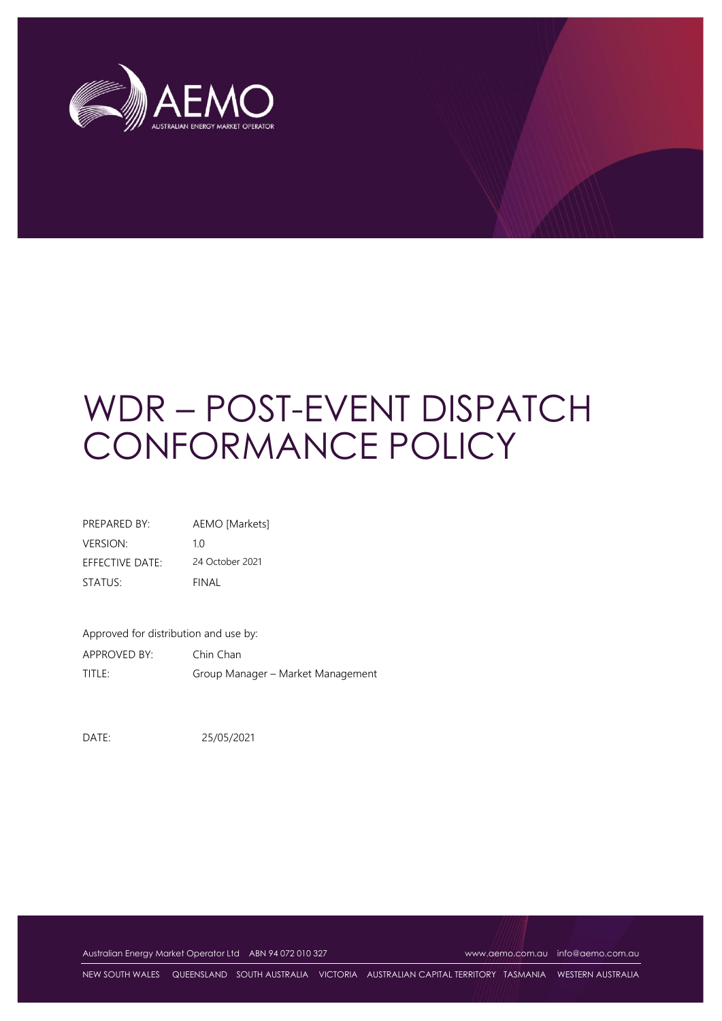

# WDR – POST-EVENT DISPATCH CONFORMANCE POLICY

| PREPARED BY:                  | AEMO [Markets]  |
|-------------------------------|-----------------|
| <b>VERSION:</b>               | 1 O             |
| $F$ FFF $C$ TIVF DATF $\cdot$ | 24 October 2021 |
| STATUS:                       | FINAL           |

Approved for distribution and use by: APPROVED BY: Chin Chan TITLE: Group Manager – Market Management

DATE: 25/05/2021

Australian Energy Market Operator Ltd ABN 94 072 010 327 [www.aemo.com.au](http://www.aemo.com.au/) [info@aemo.com.au](mailto:info@aemo.com.au)

NEW SOUTH WALES QUEENSLAND SOUTH AUSTRALIA VICTORIA AUSTRALIAN CAPITAL TERRITORY TASMANIA WESTERN AUSTRALIA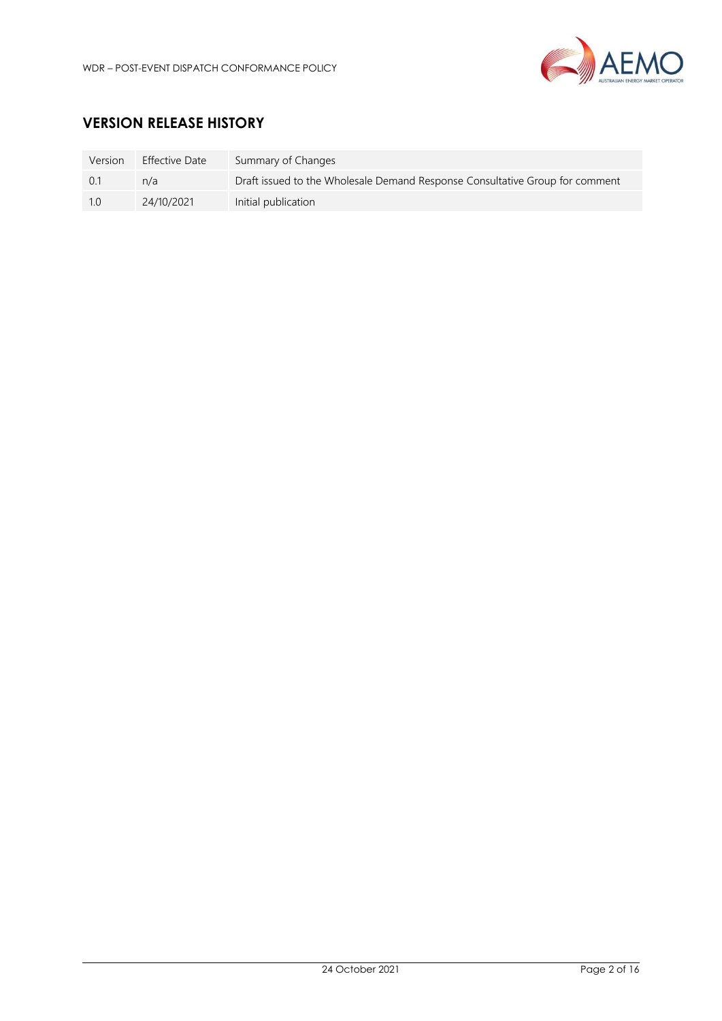

# **VERSION RELEASE HISTORY**

| Version | <b>Effective Date</b> | Summary of Changes                                                           |
|---------|-----------------------|------------------------------------------------------------------------------|
| 0.1     | n/a                   | Draft issued to the Wholesale Demand Response Consultative Group for comment |
| 10      | 24/10/2021            | Initial publication                                                          |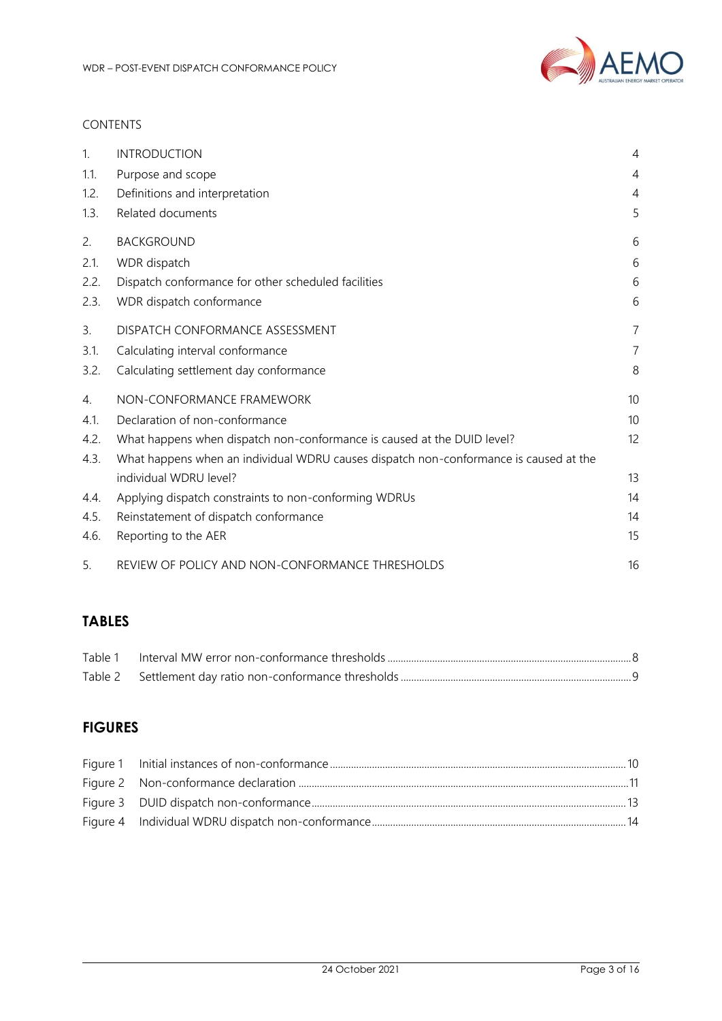

### CONTENTS

| 1.   | <b>INTRODUCTION</b>                                                                   | $\overline{4}$ |
|------|---------------------------------------------------------------------------------------|----------------|
| 1.1. | Purpose and scope                                                                     | 4              |
| 1.2. | Definitions and interpretation                                                        | $\overline{4}$ |
| 1.3. | Related documents                                                                     | 5              |
| 2.   | <b>BACKGROUND</b>                                                                     | 6              |
| 2.1. | WDR dispatch                                                                          | 6              |
| 2.2. | Dispatch conformance for other scheduled facilities                                   | 6              |
| 2.3. | WDR dispatch conformance                                                              | 6              |
| 3.   | DISPATCH CONFORMANCE ASSESSMENT                                                       | $\overline{7}$ |
| 3.1. | Calculating interval conformance                                                      | $\overline{7}$ |
| 3.2. | Calculating settlement day conformance                                                | 8              |
| 4.   | NON-CONFORMANCE FRAMEWORK                                                             | 10             |
| 4.1. | Declaration of non-conformance                                                        | 10             |
| 4.2. | What happens when dispatch non-conformance is caused at the DUID level?               | 12             |
| 4.3. | What happens when an individual WDRU causes dispatch non-conformance is caused at the |                |
|      | individual WDRU level?                                                                | 13             |
| 4.4. | Applying dispatch constraints to non-conforming WDRUs                                 | 14             |
| 4.5. | Reinstatement of dispatch conformance                                                 | 14             |
| 4.6. | Reporting to the AER                                                                  | 15             |
| 5.   | REVIEW OF POLICY AND NON-CONFORMANCE THRESHOLDS                                       | 16             |

# **TABLES**

# **FIGURES**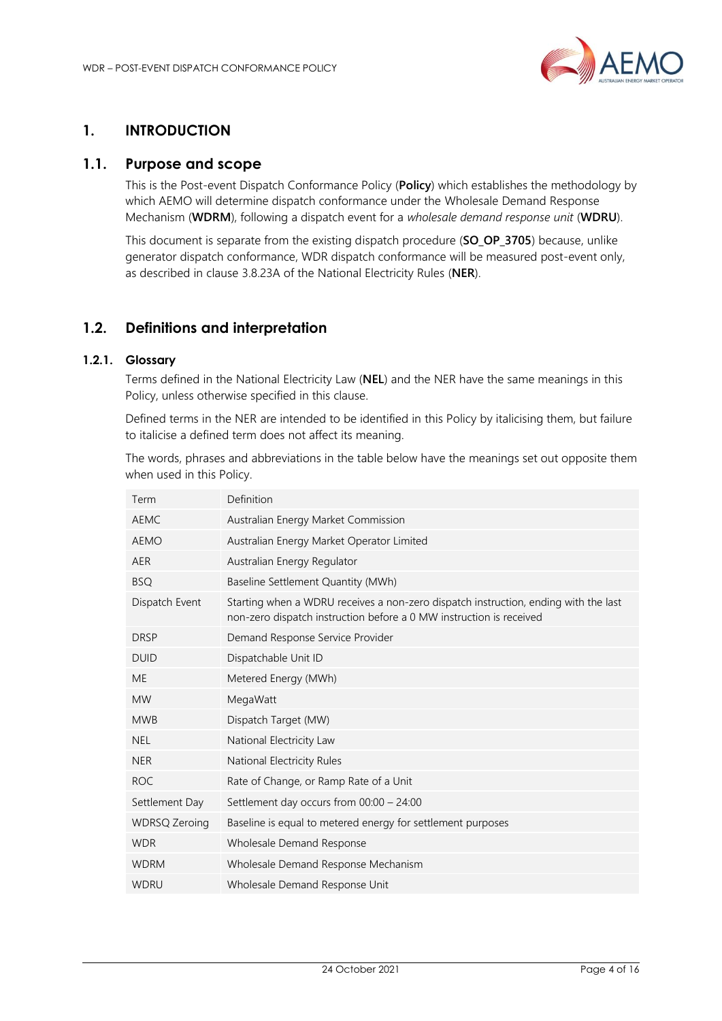

# <span id="page-3-0"></span>**1. INTRODUCTION**

## <span id="page-3-1"></span>**1.1. Purpose and scope**

This is the Post-event Dispatch Conformance Policy (**Policy**) which establishes the methodology by which AEMO will determine dispatch conformance under the Wholesale Demand Response Mechanism (**WDRM**), following a dispatch event for a *wholesale demand response unit* (**WDRU**).

This document is separate from the existing dispatch procedure (**SO\_OP\_3705**) because, unlike generator dispatch conformance, WDR dispatch conformance will be measured post-event only, as described in clause 3.8.23A of the National Electricity Rules (**NER**).

# <span id="page-3-2"></span>**1.2. Definitions and interpretation**

#### **1.2.1. Glossary**

Terms defined in the National Electricity Law (**NEL**) and the NER have the same meanings in this Policy, unless otherwise specified in this clause.

Defined terms in the NER are intended to be identified in this Policy by italicising them, but failure to italicise a defined term does not affect its meaning.

The words, phrases and abbreviations in the table below have the meanings set out opposite them when used in this Policy.

| Term                 | Definition                                                                                                                                                 |
|----------------------|------------------------------------------------------------------------------------------------------------------------------------------------------------|
| <b>AEMC</b>          | Australian Energy Market Commission                                                                                                                        |
| <b>AEMO</b>          | Australian Energy Market Operator Limited                                                                                                                  |
| <b>AER</b>           | Australian Energy Regulator                                                                                                                                |
| <b>BSQ</b>           | Baseline Settlement Quantity (MWh)                                                                                                                         |
| Dispatch Event       | Starting when a WDRU receives a non-zero dispatch instruction, ending with the last<br>non-zero dispatch instruction before a 0 MW instruction is received |
| <b>DRSP</b>          | Demand Response Service Provider                                                                                                                           |
| <b>DUID</b>          | Dispatchable Unit ID                                                                                                                                       |
| <b>ME</b>            | Metered Energy (MWh)                                                                                                                                       |
| <b>MW</b>            | MegaWatt                                                                                                                                                   |
| <b>MWB</b>           | Dispatch Target (MW)                                                                                                                                       |
| <b>NEL</b>           | National Electricity Law                                                                                                                                   |
| <b>NER</b>           | National Electricity Rules                                                                                                                                 |
| <b>ROC</b>           | Rate of Change, or Ramp Rate of a Unit                                                                                                                     |
| Settlement Day       | Settlement day occurs from 00:00 - 24:00                                                                                                                   |
| <b>WDRSQ Zeroing</b> | Baseline is equal to metered energy for settlement purposes                                                                                                |
| <b>WDR</b>           | Wholesale Demand Response                                                                                                                                  |
| <b>WDRM</b>          | Wholesale Demand Response Mechanism                                                                                                                        |
| <b>WDRU</b>          | Wholesale Demand Response Unit                                                                                                                             |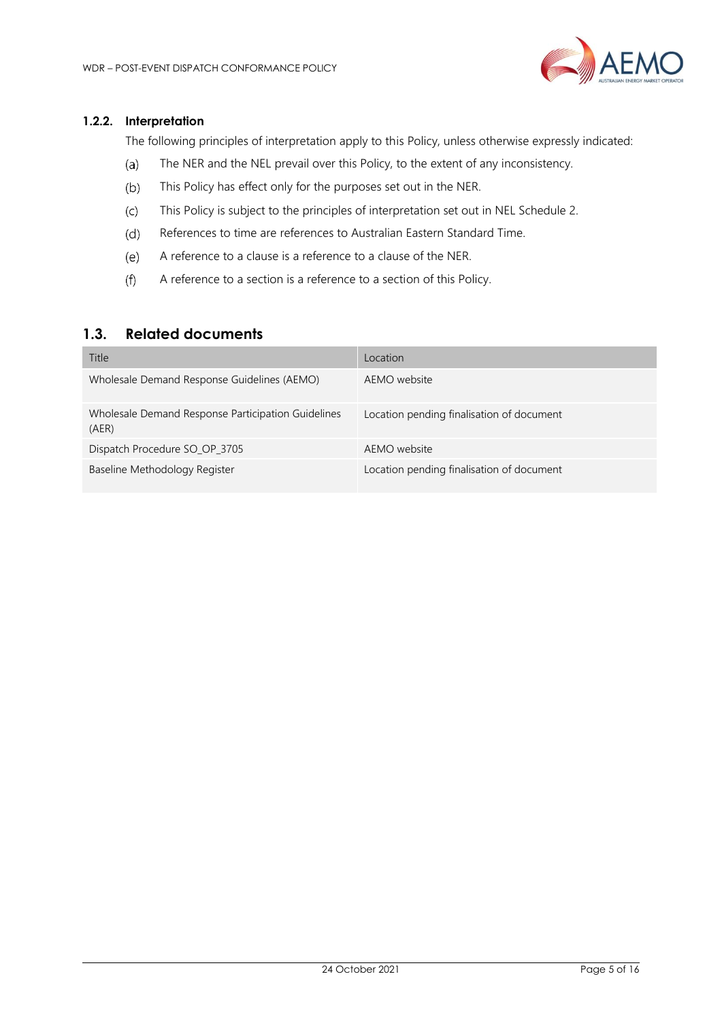

#### **1.2.2. Interpretation**

The following principles of interpretation apply to this Policy, unless otherwise expressly indicated:

- The NER and the NEL prevail over this Policy, to the extent of any inconsistency.  $(a)$
- $(b)$ This Policy has effect only for the purposes set out in the NER.
- $(c)$ This Policy is subject to the principles of interpretation set out in NEL Schedule 2.
- References to time are references to Australian Eastern Standard Time.  $(d)$
- $(e)$ A reference to a clause is a reference to a clause of the NER.
- $(f)$ A reference to a section is a reference to a section of this Policy.

## <span id="page-4-0"></span>**1.3. Related documents**

| Title                                                       | Location                                  |
|-------------------------------------------------------------|-------------------------------------------|
| Wholesale Demand Response Guidelines (AEMO)                 | AEMO website                              |
| Wholesale Demand Response Participation Guidelines<br>(AER) | Location pending finalisation of document |
| Dispatch Procedure SO_OP_3705                               | AEMO website                              |
| Baseline Methodology Register                               | Location pending finalisation of document |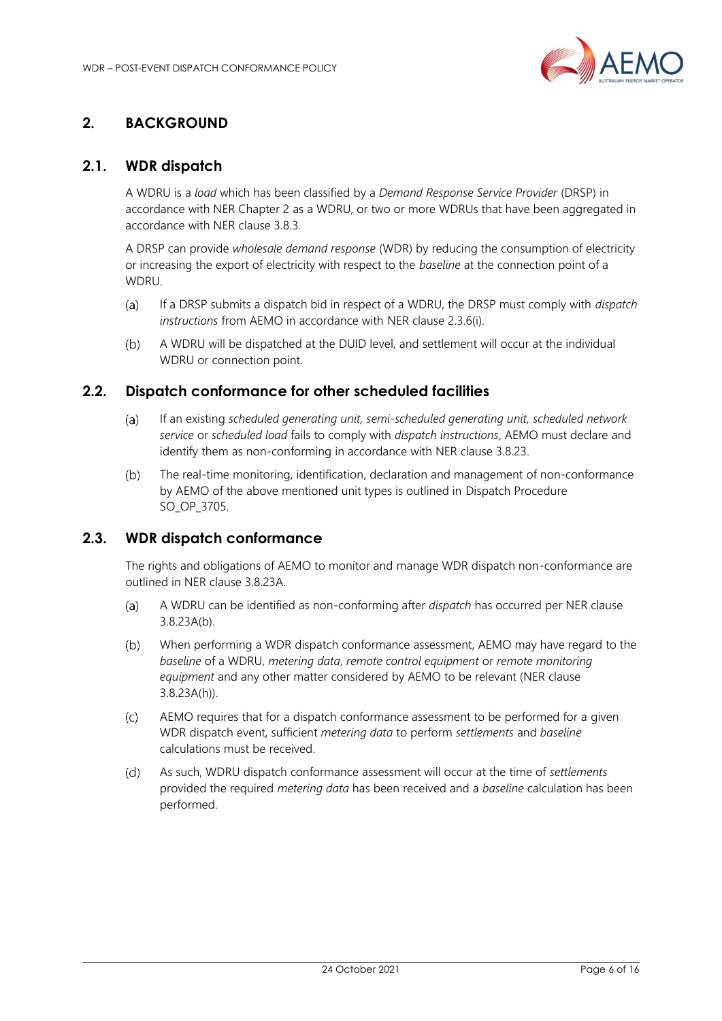

# <span id="page-5-0"></span>**2. BACKGROUND**

# <span id="page-5-1"></span>**2.1. WDR dispatch**

A WDRU is a *load* which has been classified by a *Demand Response Service Provider* (DRSP) in accordance with NER Chapter 2 as a WDRU, or two or more WDRUs that have been aggregated in accordance with NER clause 3.8.3.

A DRSP can provide *wholesale demand response* (WDR) by reducing the consumption of electricity or increasing the export of electricity with respect to the *baseline* at the connection point of a WDRU.

- If a DRSP submits a dispatch bid in respect of a WDRU, the DRSP must comply with *dispatch*   $(a)$ *instructions* from AEMO in accordance with NER clause 2.3.6(i).
- $(b)$ A WDRU will be dispatched at the DUID level, and settlement will occur at the individual WDRU or connection point.

# <span id="page-5-2"></span>**2.2. Dispatch conformance for other scheduled facilities**

- $(a)$ If an existing *scheduled generating unit, semi-scheduled generating unit, scheduled network service* or *scheduled load* fails to comply with *dispatch instructions*, AEMO must declare and identify them as non-conforming in accordance with NER clause 3.8.23.
- The real-time monitoring, identification, declaration and management of non-conformance  $(b)$ by AEMO of the above mentioned unit types is outlined in Dispatch Procedure SO\_OP\_3705.

# <span id="page-5-3"></span>**2.3. WDR dispatch conformance**

The rights and obligations of AEMO to monitor and manage WDR dispatch non-conformance are outlined in NER clause 3.8.23A.

- $(a)$ A WDRU can be identified as non-conforming after *dispatch* has occurred per NER clause 3.8.23A(b).
- $(b)$ When performing a WDR dispatch conformance assessment, AEMO may have regard to the *baseline* of a WDRU, *metering data*, *remote control equipment* or *remote monitoring equipment* and any other matter considered by AEMO to be relevant (NER clause 3.8.23A(h)).
- AEMO requires that for a dispatch conformance assessment to be performed for a given  $(c)$ WDR dispatch event, sufficient *metering data* to perform *settlements* and *baseline*  calculations must be received.
- As such, WDRU dispatch conformance assessment will occur at the time of *settlements*  $(d)$ provided the required *metering data* has been received and a *baseline* calculation has been performed.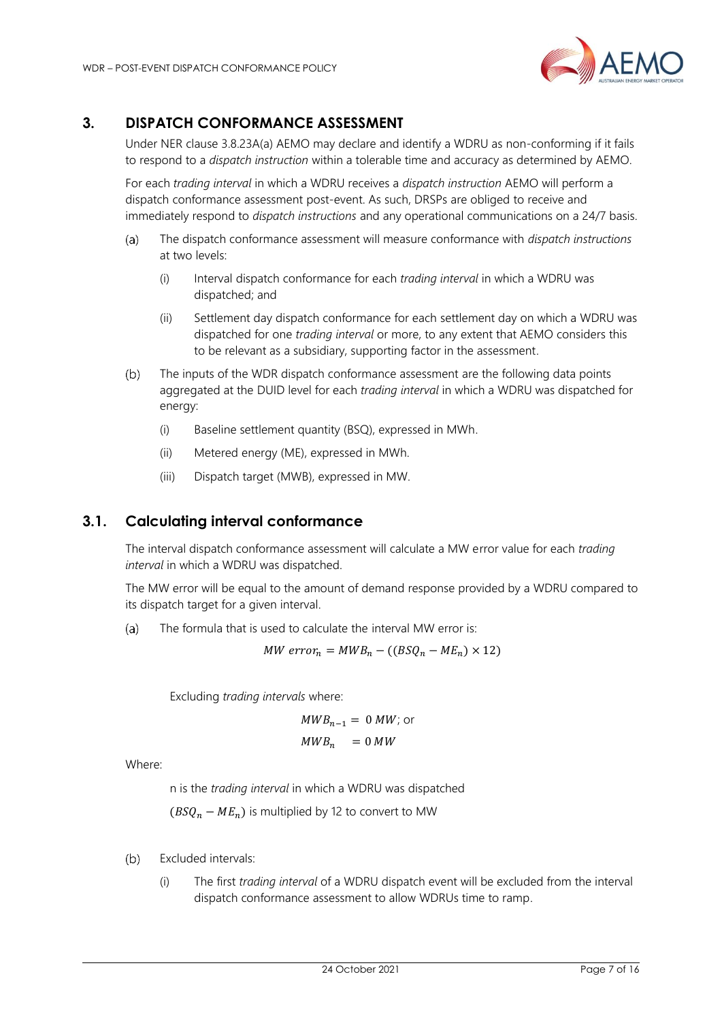

# <span id="page-6-0"></span>**3. DISPATCH CONFORMANCE ASSESSMENT**

Under NER clause 3.8.23A(a) AEMO may declare and identify a WDRU as non-conforming if it fails to respond to a *dispatch instruction* within a tolerable time and accuracy as determined by AEMO.

For each *trading interval* in which a WDRU receives a *dispatch instruction* AEMO will perform a dispatch conformance assessment post-event. As such, DRSPs are obliged to receive and immediately respond to *dispatch instructions* and any operational communications on a 24/7 basis.

- $(a)$ The dispatch conformance assessment will measure conformance with *dispatch instructions* at two levels:
	- (i) Interval dispatch conformance for each *trading interval* in which a WDRU was dispatched; and
	- (ii) Settlement day dispatch conformance for each settlement day on which a WDRU was dispatched for one *trading interval* or more, to any extent that AEMO considers this to be relevant as a subsidiary, supporting factor in the assessment.
- $(b)$ The inputs of the WDR dispatch conformance assessment are the following data points aggregated at the DUID level for each *trading interval* in which a WDRU was dispatched for energy:
	- (i) Baseline settlement quantity (BSQ), expressed in MWh.
	- (ii) Metered energy (ME), expressed in MWh.
	- (iii) Dispatch target (MWB), expressed in MW.

## <span id="page-6-1"></span>**3.1. Calculating interval conformance**

The interval dispatch conformance assessment will calculate a MW error value for each *trading interval* in which a WDRU was dispatched.

The MW error will be equal to the amount of demand response provided by a WDRU compared to its dispatch target for a given interval.

 $(a)$ The formula that is used to calculate the interval MW error is:

$$
MW\ error_n = MWB_n - ((BSQ_n - ME_n) \times 12)
$$

Excluding *trading intervals* where:

$$
MWB_{n-1} = 0 \, MW; \text{ or } \\ MWB_n = 0 \, MW
$$

Where:

n is the *trading interval* in which a WDRU was dispatched

 $(BSQ_n - ME_n)$  is multiplied by 12 to convert to MW

- Excluded intervals:  $(b)$ 
	- (i) The first *trading interval* of a WDRU dispatch event will be excluded from the interval dispatch conformance assessment to allow WDRUs time to ramp.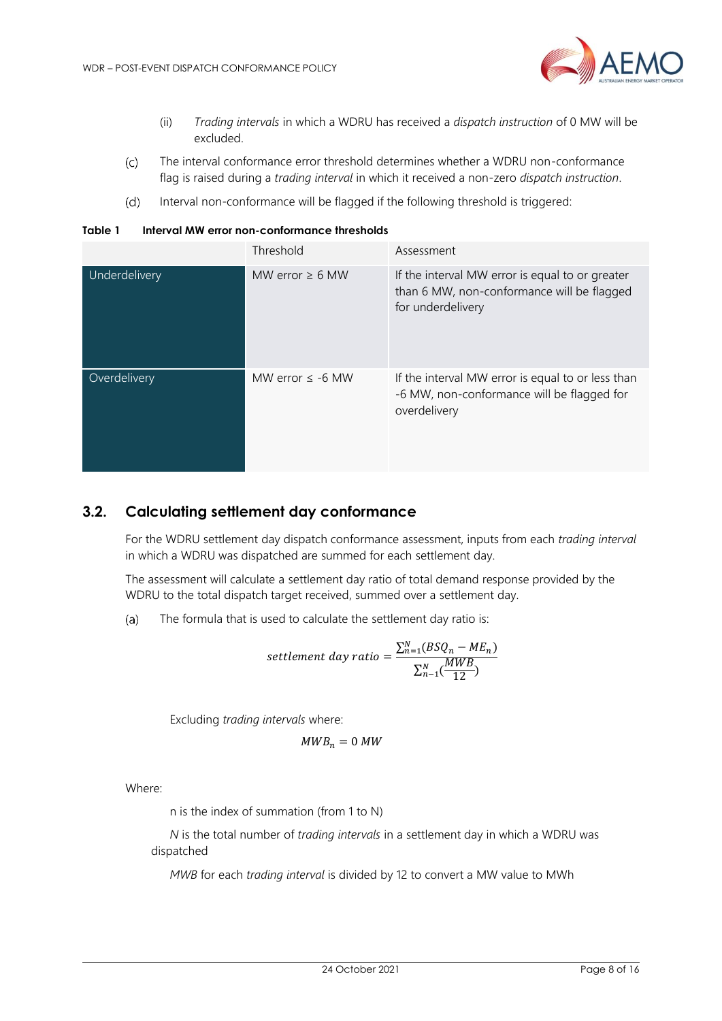

- (ii) *Trading intervals* in which a WDRU has received a *dispatch instruction* of 0 MW will be excluded.
- $(c)$ The interval conformance error threshold determines whether a WDRU non-conformance flag is raised during a *trading interval* in which it received a non-zero *dispatch instruction*.
- $(d)$ Interval non-conformance will be flagged if the following threshold is triggered:

<span id="page-7-1"></span>

| Table 1 | Interval MW error non-conformance thresholds |
|---------|----------------------------------------------|
|         |                                              |

|               | Threshold            | Assessment                                                                                                         |
|---------------|----------------------|--------------------------------------------------------------------------------------------------------------------|
| Underdelivery | MW error $\geq 6$ MW | If the interval MW error is equal to or greater<br>than 6 MW, non-conformance will be flagged<br>for underdelivery |
| Overdelivery  | MW error $\le$ -6 MW | If the interval MW error is equal to or less than<br>-6 MW, non-conformance will be flagged for<br>overdelivery    |

# <span id="page-7-0"></span>**3.2. Calculating settlement day conformance**

For the WDRU settlement day dispatch conformance assessment, inputs from each *trading interval* in which a WDRU was dispatched are summed for each settlement day.

The assessment will calculate a settlement day ratio of total demand response provided by the WDRU to the total dispatch target received, summed over a settlement day.

 $(a)$ The formula that is used to calculate the settlement day ratio is:

settlement day ratio = 
$$
\frac{\sum_{n=1}^{N} (BSQ_n - ME_n)}{\sum_{n=1}^{N} (\frac{MWB}{12})}
$$

Excluding *trading intervals* where:

$$
MWB_n=0\,MW
$$

Where:

n is the index of summation (from 1 to N)

*N* is the total number of *trading intervals* in a settlement day in which a WDRU was dispatched

*MWB* for each *trading interval* is divided by 12 to convert a MW value to MWh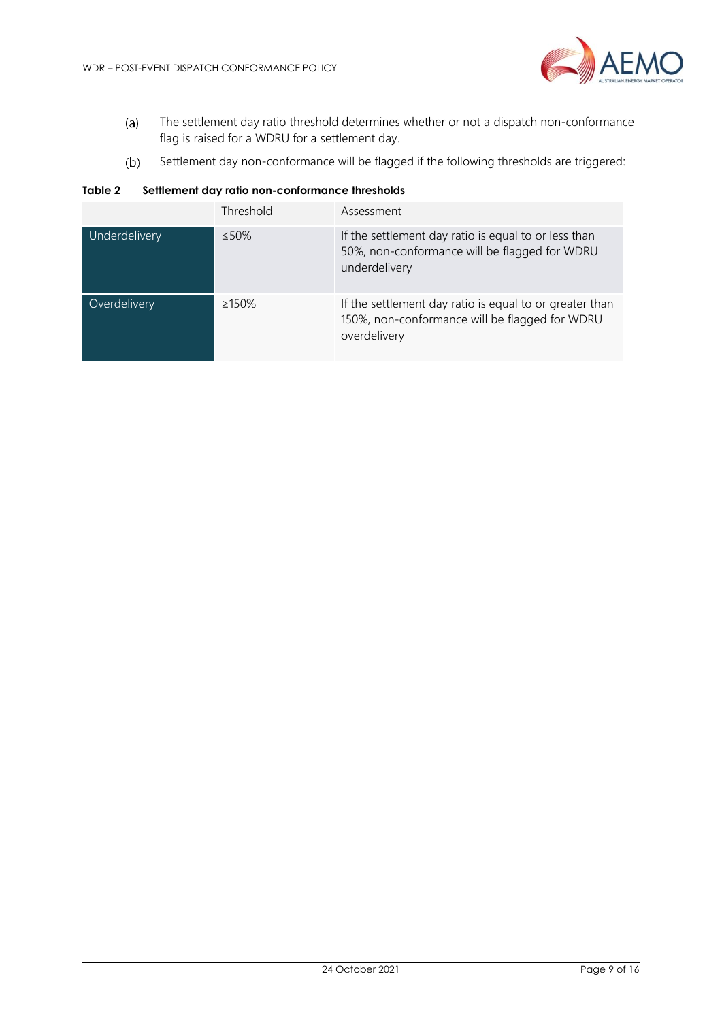

- The settlement day ratio threshold determines whether or not a dispatch non-conformance  $(a)$ flag is raised for a WDRU for a settlement day.
- Settlement day non-conformance will be flagged if the following thresholds are triggered:  $(b)$

<span id="page-8-0"></span>**Table 2 Settlement day ratio non-conformance thresholds**

|               | Threshold    | Assessment                                                                                                                |
|---------------|--------------|---------------------------------------------------------------------------------------------------------------------------|
| Underdelivery | $\leq 50\%$  | If the settlement day ratio is equal to or less than<br>50%, non-conformance will be flagged for WDRU<br>underdelivery    |
| Overdelivery  | $\geq 150\%$ | If the settlement day ratio is equal to or greater than<br>150%, non-conformance will be flagged for WDRU<br>overdelivery |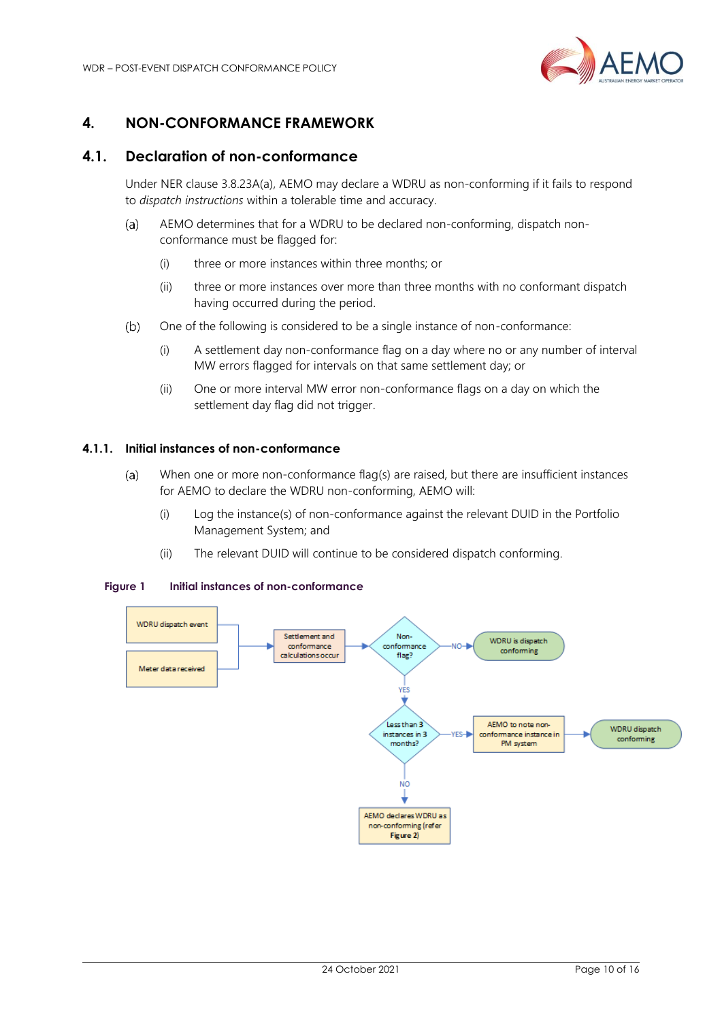

# <span id="page-9-0"></span>**4. NON-CONFORMANCE FRAMEWORK**

## <span id="page-9-1"></span>**4.1. Declaration of non-conformance**

Under NER clause 3.8.23A(a), AEMO may declare a WDRU as non-conforming if it fails to respond to *dispatch instructions* within a tolerable time and accuracy.

- AEMO determines that for a WDRU to be declared non-conforming, dispatch non- $(a)$ conformance must be flagged for:
	- (i) three or more instances within three months; or
	- (ii) three or more instances over more than three months with no conformant dispatch having occurred during the period.
- $(b)$ One of the following is considered to be a single instance of non-conformance:
	- (i) A settlement day non-conformance flag on a day where no or any number of interval MW errors flagged for intervals on that same settlement day; or
	- (ii) One or more interval MW error non-conformance flags on a day on which the settlement day flag did not trigger.

#### **4.1.1. Initial instances of non-conformance**

- When one or more non-conformance flag(s) are raised, but there are insufficient instances  $(a)$ for AEMO to declare the WDRU non-conforming, AEMO will:
	- (i) Log the instance(s) of non-conformance against the relevant DUID in the Portfolio Management System; and
	- (ii) The relevant DUID will continue to be considered dispatch conforming.

#### <span id="page-9-2"></span>**Figure 1 Initial instances of non-conformance**

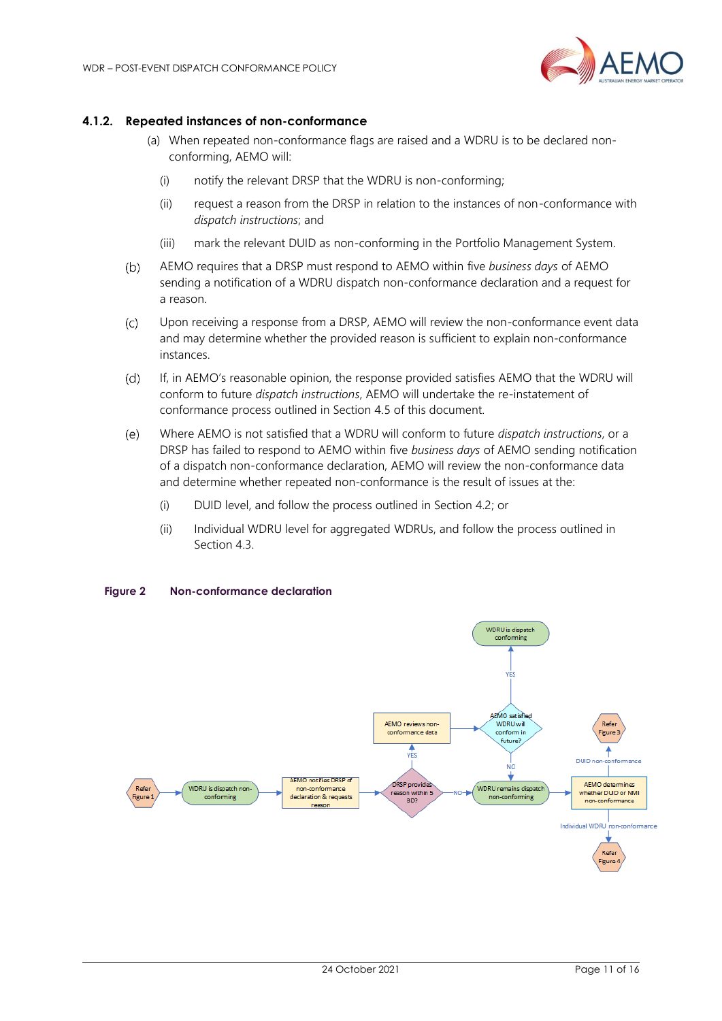

#### **4.1.2. Repeated instances of non-conformance**

- (a) When repeated non-conformance flags are raised and a WDRU is to be declared nonconforming, AEMO will:
	- (i) notify the relevant DRSP that the WDRU is non-conforming;
	- (ii) request a reason from the DRSP in relation to the instances of non-conformance with *dispatch instructions*; and
	- (iii) mark the relevant DUID as non-conforming in the Portfolio Management System.
- $(b)$ AEMO requires that a DRSP must respond to AEMO within five *business days* of AEMO sending a notification of a WDRU dispatch non-conformance declaration and a request for a reason.
- $(C)$ Upon receiving a response from a DRSP, AEMO will review the non-conformance event data and may determine whether the provided reason is sufficient to explain non-conformance instances.
- $(d)$ If, in AEMO's reasonable opinion, the response provided satisfies AEMO that the WDRU will conform to future *dispatch instructions*, AEMO will undertake the re-instatement of conformance process outlined in Section 4.5 of this document.
- $(e)$ Where AEMO is not satisfied that a WDRU will conform to future *dispatch instructions*, or a DRSP has failed to respond to AEMO within five *business days* of AEMO sending notification of a dispatch non-conformance declaration, AEMO will review the non-conformance data and determine whether repeated non-conformance is the result of issues at the:
	- (i) DUID level, and follow the process outlined in Section 4.2; or
	- (ii) Individual WDRU level for aggregated WDRUs, and follow the process outlined in Section 4.3.



#### <span id="page-10-0"></span>**Figure 2 Non-conformance declaration**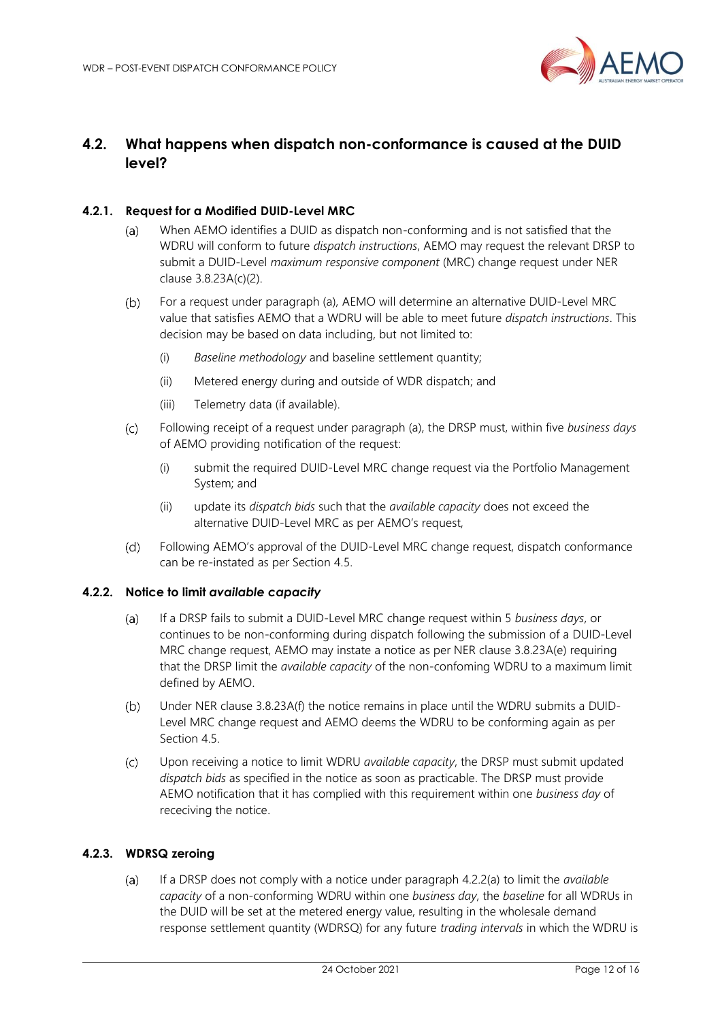

# <span id="page-11-0"></span>**4.2. What happens when dispatch non-conformance is caused at the DUID level?**

#### **4.2.1. Request for a Modified DUID-Level MRC**

- $(a)$ When AEMO identifies a DUID as dispatch non-conforming and is not satisfied that the WDRU will conform to future *dispatch instructions*, AEMO may request the relevant DRSP to submit a DUID-Level *maximum responsive component* (MRC) change request under NER clause 3.8.23A(c)(2).
- $(b)$ For a request under paragraph (a), AEMO will determine an alternative DUID-Level MRC value that satisfies AEMO that a WDRU will be able to meet future *dispatch instructions*. This decision may be based on data including, but not limited to:
	- (i) *Baseline methodology* and baseline settlement quantity;
	- (ii) Metered energy during and outside of WDR dispatch; and
	- (iii) Telemetry data (if available).
- $(C)$ Following receipt of a request under paragraph (a), the DRSP must, within five *business days* of AEMO providing notification of the request:
	- (i) submit the required DUID-Level MRC change request via the Portfolio Management System; and
	- (ii) update its *dispatch bids* such that the *available capacity* does not exceed the alternative DUID-Level MRC as per AEMO's request,
- Following AEMO's approval of the DUID-Level MRC change request, dispatch conformance  $(d)$ can be re-instated as per Section 4.5.

#### **4.2.2. Notice to limit** *available capacity*

- If a DRSP fails to submit a DUID-Level MRC change request within 5 *business days*, or  $(a)$ continues to be non-conforming during dispatch following the submission of a DUID-Level MRC change request, AEMO may instate a notice as per NER clause 3.8.23A(e) requiring that the DRSP limit the *available capacity* of the non-confoming WDRU to a maximum limit defined by AEMO.
- Under NER clause 3.8.23A(f) the notice remains in place until the WDRU submits a DUID- $(b)$ Level MRC change request and AEMO deems the WDRU to be conforming again as per Section 4.5.
- $(c)$ Upon receiving a notice to limit WDRU *available capacity*, the DRSP must submit updated *dispatch bids* as specified in the notice as soon as practicable. The DRSP must provide AEMO notification that it has complied with this requirement within one *business day* of receciving the notice.

#### **4.2.3. WDRSQ zeroing**

 $(a)$ If a DRSP does not comply with a notice under paragraph 4.2.2(a) to limit the *available capacity* of a non-conforming WDRU within one *business day*, the *baseline* for all WDRUs in the DUID will be set at the metered energy value, resulting in the wholesale demand response settlement quantity (WDRSQ) for any future *trading intervals* in which the WDRU is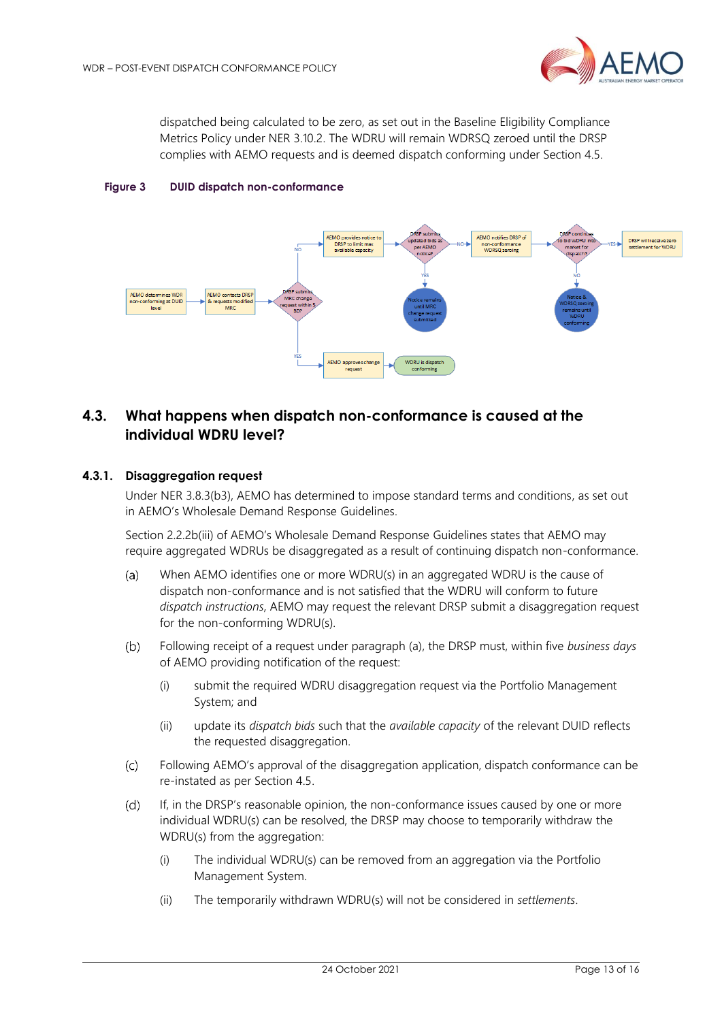

dispatched being calculated to be zero, as set out in the Baseline Eligibility Compliance Metrics Policy under NER 3.10.2. The WDRU will remain WDRSQ zeroed until the DRSP complies with AEMO requests and is deemed dispatch conforming under Section 4.5.

<span id="page-12-1"></span>



# <span id="page-12-0"></span>**4.3. What happens when dispatch non-conformance is caused at the individual WDRU level?**

#### **4.3.1. Disaggregation request**

Under NER 3.8.3(b3), AEMO has determined to impose standard terms and conditions, as set out in AEMO's Wholesale Demand Response Guidelines.

Section 2.2.2b(iii) of AEMO's Wholesale Demand Response Guidelines states that AEMO may require aggregated WDRUs be disaggregated as a result of continuing dispatch non-conformance.

- $(a)$ When AEMO identifies one or more WDRU(s) in an aggregated WDRU is the cause of dispatch non-conformance and is not satisfied that the WDRU will conform to future *dispatch instructions*, AEMO may request the relevant DRSP submit a disaggregation request for the non-conforming WDRU(s).
- $(b)$ Following receipt of a request under paragraph (a), the DRSP must, within five *business days* of AEMO providing notification of the request:
	- (i) submit the required WDRU disaggregation request via the Portfolio Management System; and
	- (ii) update its *dispatch bids* such that the *available capacity* of the relevant DUID reflects the requested disaggregation.
- Following AEMO's approval of the disaggregation application, dispatch conformance can be  $(c)$ re-instated as per Section 4.5.
- $(d)$ If, in the DRSP's reasonable opinion, the non-conformance issues caused by one or more individual WDRU(s) can be resolved, the DRSP may choose to temporarily withdraw the WDRU(s) from the aggregation:
	- (i) The individual WDRU(s) can be removed from an aggregation via the Portfolio Management System.
	- (ii) The temporarily withdrawn WDRU(s) will not be considered in *settlements*.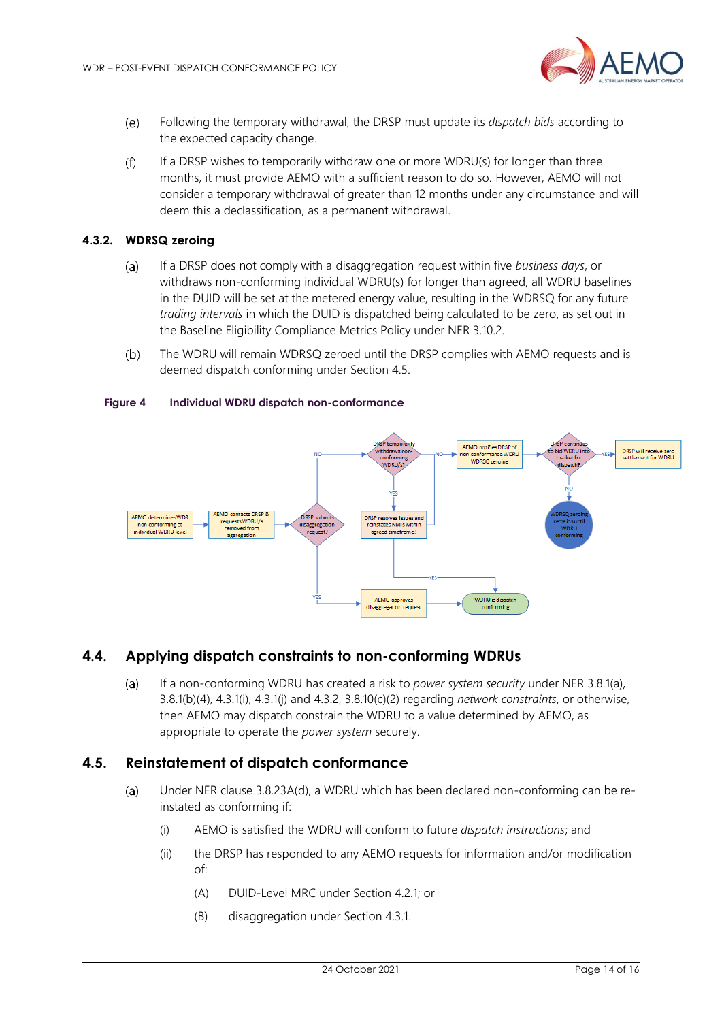

- Following the temporary withdrawal, the DRSP must update its *dispatch bids* according to  $(e)$ the expected capacity change.
- $(f)$ If a DRSP wishes to temporarily withdraw one or more WDRU(s) for longer than three months, it must provide AEMO with a sufficient reason to do so. However, AEMO will not consider a temporary withdrawal of greater than 12 months under any circumstance and will deem this a declassification, as a permanent withdrawal.

#### **4.3.2. WDRSQ zeroing**

- If a DRSP does not comply with a disaggregation request within five *business days*, or  $(a)$ withdraws non-conforming individual WDRU(s) for longer than agreed, all WDRU baselines in the DUID will be set at the metered energy value, resulting in the WDRSQ for any future *trading intervals* in which the DUID is dispatched being calculated to be zero, as set out in the Baseline Eligibility Compliance Metrics Policy under NER 3.10.2.
- $(b)$ The WDRU will remain WDRSQ zeroed until the DRSP complies with AEMO requests and is deemed dispatch conforming under Section 4.5.

#### <span id="page-13-2"></span>**Figure 4 Individual WDRU dispatch non-conformance**



### <span id="page-13-0"></span>**4.4. Applying dispatch constraints to non-conforming WDRUs**

If a non-conforming WDRU has created a risk to *power system security* under NER 3.8.1(a),  $(a)$ 3.8.1(b)(4), 4.3.1(i), 4.3.1(j) and 4.3.2, 3.8.10(c)(2) regarding *network constraints*, or otherwise, then AEMO may dispatch constrain the WDRU to a value determined by AEMO, as appropriate to operate the *power system* securely.

### <span id="page-13-1"></span>**4.5. Reinstatement of dispatch conformance**

- Under NER clause 3.8.23A(d), a WDRU which has been declared non-conforming can be re- $(a)$ instated as conforming if:
	- (i) AEMO is satisfied the WDRU will conform to future *dispatch instructions*; and
	- (ii) the DRSP has responded to any AEMO requests for information and/or modification of:
		- (A) DUID-Level MRC under Section 4.2.1; or
		- (B) disaggregation under Section 4.3.1.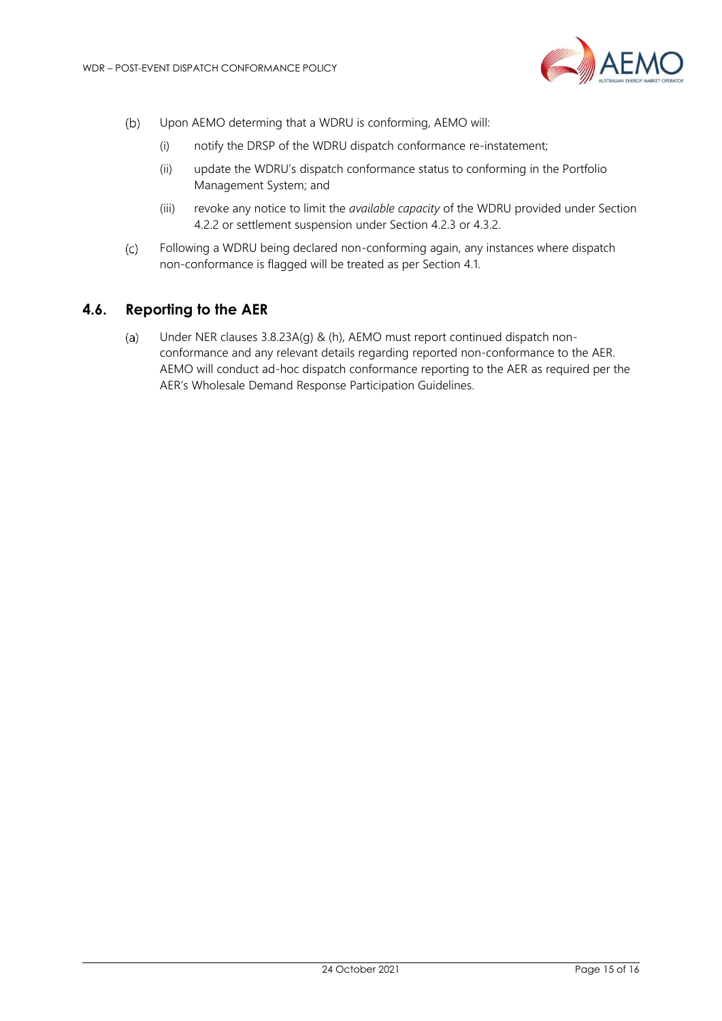

- Upon AEMO determing that a WDRU is conforming, AEMO will:  $(b)$ 
	- (i) notify the DRSP of the WDRU dispatch conformance re-instatement;
	- (ii) update the WDRU's dispatch conformance status to conforming in the Portfolio Management System; and
	- (iii) revoke any notice to limit the *available capacity* of the WDRU provided under Section 4.2.2 or settlement suspension under Section 4.2.3 or 4.3.2.
- Following a WDRU being declared non-conforming again, any instances where dispatch  $(C)$ non-conformance is flagged will be treated as per Section 4.1.

## <span id="page-14-0"></span>**4.6. Reporting to the AER**

Under NER clauses 3.8.23A(g) & (h), AEMO must report continued dispatch non- $(a)$ conformance and any relevant details regarding reported non-conformance to the AER. AEMO will conduct ad-hoc dispatch conformance reporting to the AER as required per the AER's Wholesale Demand Response Participation Guidelines.